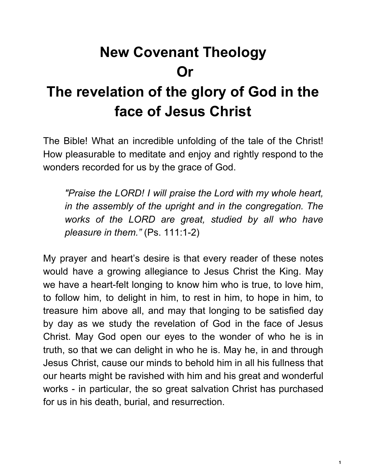# **New Covenant Theology Or**

# **The revelation of the glory of God in the face of Jesus Christ**

The Bible! What an incredible unfolding of the tale of the Christ! How pleasurable to meditate and enjoy and rightly respond to the wonders recorded for us by the grace of God.

*"Praise the LORD! I will praise the Lord with my whole heart, in the assembly of the upright and in the congregation. The works of the LORD are great, studied by all who have pleasure in them."* (Ps. 111:1-2)

My prayer and heart's desire is that every reader of these notes would have a growing allegiance to Jesus Christ the King. May we have a heart-felt longing to know him who is true, to love him, to follow him, to delight in him, to rest in him, to hope in him, to treasure him above all, and may that longing to be satisfied day by day as we study the revelation of God in the face of Jesus Christ. May God open our eyes to the wonder of who he is in truth, so that we can delight in who he is. May he, in and through Jesus Christ, cause our minds to behold him in all his fullness that our hearts might be ravished with him and his great and wonderful works - in particular, the so great salvation Christ has purchased for us in his death, burial, and resurrection.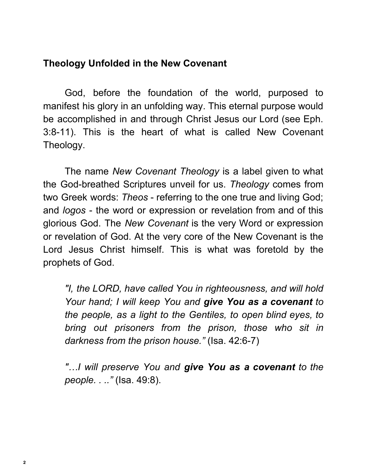#### **Theology Unfolded in the New Covenant**

God, before the foundation of the world, purposed to manifest his glory in an unfolding way. This eternal purpose would be accomplished in and through Christ Jesus our Lord (see Eph. 3:8-11). This is the heart of what is called New Covenant Theology.

The name *New Covenant Theology* is a label given to what the God-breathed Scriptures unveil for us. *Theology* comes from two Greek words: *Theos* - referring to the one true and living God; and *logos* - the word or expression or revelation from and of this glorious God. The *New Covenant* is the very Word or expression or revelation of God. At the very core of the New Covenant is the Lord Jesus Christ himself. This is what was foretold by the prophets of God.

*"I, the LORD, have called You in righteousness, and will hold Your hand; I will keep You and give You as a covenant to the people, as a light to the Gentiles, to open blind eyes, to bring out prisoners from the prison, those who sit in darkness from the prison house."* (Isa. 42:6-7)

*"…I will preserve You and give You as a covenant to the people. . .."* (Isa. 49:8).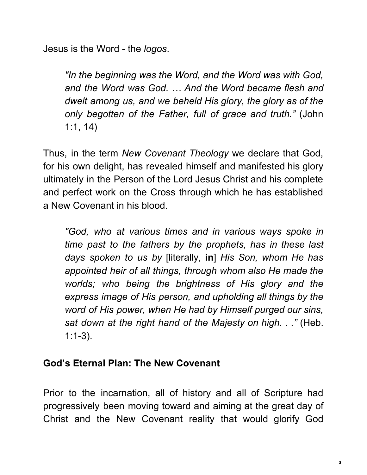Jesus is the Word - the *logos*.

*"In the beginning was the Word, and the Word was with God, and the Word was God. … And the Word became flesh and dwelt among us, and we beheld His glory, the glory as of the only begotten of the Father, full of grace and truth."* (John 1:1, 14)

Thus, in the term *New Covenant Theology* we declare that God, for his own delight, has revealed himself and manifested his glory ultimately in the Person of the Lord Jesus Christ and his complete and perfect work on the Cross through which he has established a New Covenant in his blood.

*"God, who at various times and in various ways spoke in time past to the fathers by the prophets, has in these last days spoken to us by* [literally, **in**] *His Son, whom He has appointed heir of all things, through whom also He made the worlds; who being the brightness of His glory and the express image of His person, and upholding all things by the word of His power, when He had by Himself purged our sins, sat down at the right hand of the Majesty on high. . ."* (Heb. 1:1-3).

# **God's Eternal Plan: The New Covenant**

Prior to the incarnation, all of history and all of Scripture had progressively been moving toward and aiming at the great day of Christ and the New Covenant reality that would glorify God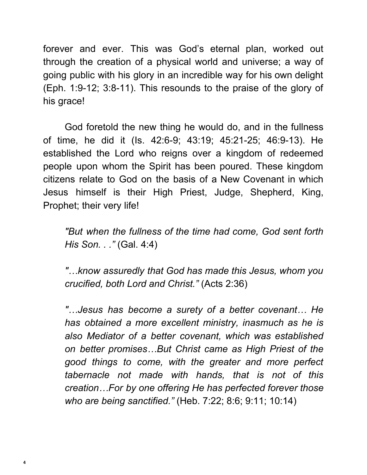forever and ever. This was God's eternal plan, worked out through the creation of a physical world and universe; a way of going public with his glory in an incredible way for his own delight (Eph. 1:9-12; 3:8-11). This resounds to the praise of the glory of his grace!

God foretold the new thing he would do, and in the fullness of time, he did it (Is. 42:6-9; 43:19; 45:21-25; 46:9-13). He established the Lord who reigns over a kingdom of redeemed people upon whom the Spirit has been poured. These kingdom citizens relate to God on the basis of a New Covenant in which Jesus himself is their High Priest, Judge, Shepherd, King, Prophet; their very life!

*"But when the fullness of the time had come, God sent forth His Son. . ."* (Gal. 4:4)

*"…know assuredly that God has made this Jesus, whom you crucified, both Lord and Christ."* (Acts 2:36)

*"…Jesus has become a surety of a better covenant… He has obtained a more excellent ministry, inasmuch as he is also Mediator of a better covenant, which was established on better promises…But Christ came as High Priest of the good things to come, with the greater and more perfect tabernacle not made with hands, that is not of this creation…For by one offering He has perfected forever those who are being sanctified."* (Heb. 7:22; 8:6; 9:11; 10:14)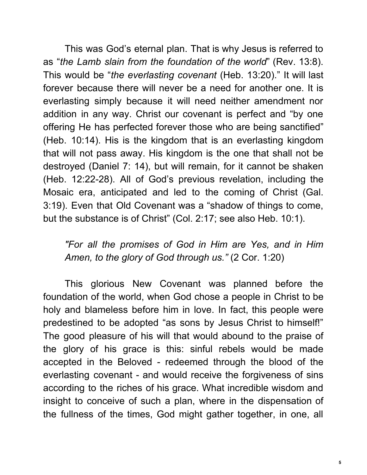This was God's eternal plan. That is why Jesus is referred to as "*the Lamb slain from the foundation of the world*" (Rev. 13:8). This would be "*the everlasting covenant* (Heb. 13:20)." It will last forever because there will never be a need for another one. It is everlasting simply because it will need neither amendment nor addition in any way. Christ our covenant is perfect and "by one offering He has perfected forever those who are being sanctified" (Heb. 10:14). His is the kingdom that is an everlasting kingdom that will not pass away. His kingdom is the one that shall not be destroyed (Daniel 7: 14), but will remain, for it cannot be shaken (Heb. 12:22-28). All of God's previous revelation, including the Mosaic era, anticipated and led to the coming of Christ (Gal. 3:19). Even that Old Covenant was a "shadow of things to come, but the substance is of Christ" (Col. 2:17; see also Heb. 10:1).

*"For all the promises of God in Him are Yes, and in Him Amen, to the glory of God through us."* (2 Cor. 1:20)

This glorious New Covenant was planned before the foundation of the world, when God chose a people in Christ to be holy and blameless before him in love. In fact, this people were predestined to be adopted "as sons by Jesus Christ to himself!" The good pleasure of his will that would abound to the praise of the glory of his grace is this: sinful rebels would be made accepted in the Beloved - redeemed through the blood of the everlasting covenant - and would receive the forgiveness of sins according to the riches of his grace. What incredible wisdom and insight to conceive of such a plan, where in the dispensation of the fullness of the times, God might gather together, in one, all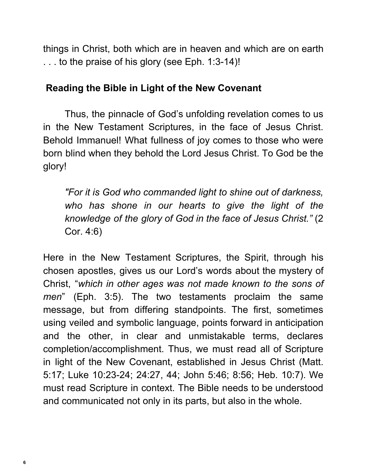things in Christ, both which are in heaven and which are on earth . . . to the praise of his glory (see Eph. 1:3-14)!

#### **Reading the Bible in Light of the New Covenant**

Thus, the pinnacle of God's unfolding revelation comes to us in the New Testament Scriptures, in the face of Jesus Christ. Behold Immanuel! What fullness of joy comes to those who were born blind when they behold the Lord Jesus Christ. To God be the glory!

*"For it is God who commanded light to shine out of darkness, who has shone in our hearts to give the light of the knowledge of the glory of God in the face of Jesus Christ."* (2 Cor. 4:6)

Here in the New Testament Scriptures, the Spirit, through his chosen apostles, gives us our Lord's words about the mystery of Christ, "*which in other ages was not made known to the sons of men*" (Eph. 3:5). The two testaments proclaim the same message, but from differing standpoints. The first, sometimes using veiled and symbolic language, points forward in anticipation and the other, in clear and unmistakable terms, declares completion/accomplishment. Thus, we must read all of Scripture in light of the New Covenant, established in Jesus Christ (Matt. 5:17; Luke 10:23-24; 24:27, 44; John 5:46; 8:56; Heb. 10:7). We must read Scripture in context. The Bible needs to be understood and communicated not only in its parts, but also in the whole.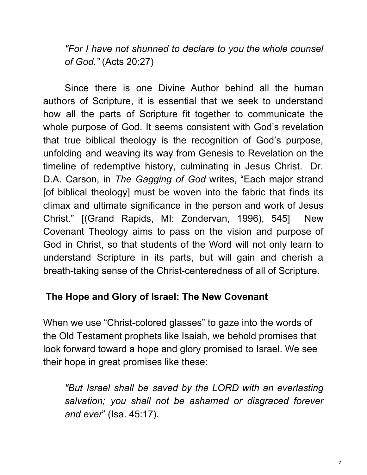*"For I have not shunned to declare to you the whole counsel of God."* (Acts 20:27)

Since there is one Divine Author behind all the human authors of Scripture, it is essential that we seek to understand how all the parts of Scripture fit together to communicate the whole purpose of God. It seems consistent with God's revelation that true biblical theology is the recognition of God's purpose, unfolding and weaving its way from Genesis to Revelation on the timeline of redemptive history, culminating in Jesus Christ. Dr. D.A. Carson, in *The Gagging of God* writes, "Each major strand [of biblical theology] must be woven into the fabric that finds its climax and ultimate significance in the person and work of Jesus Christ." [(Grand Rapids, MI: Zondervan, 1996), 545] New Covenant Theology aims to pass on the vision and purpose of God in Christ, so that students of the Word will not only learn to understand Scripture in its parts, but will gain and cherish a breath-taking sense of the Christ-centeredness of all of Scripture.

# **The Hope and Glory of Israel: The New Covenant**

When we use "Christ-colored glasses" to gaze into the words of the Old Testament prophets like Isaiah, we behold promises that look forward toward a hope and glory promised to Israel. We see their hope in great promises like these:

*"But Israel shall be saved by the LORD with an everlasting salvation; you shall not be ashamed or disgraced forever and ever*" (Isa. 45:17).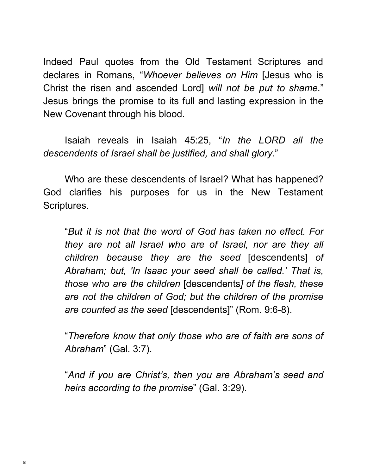Indeed Paul quotes from the Old Testament Scriptures and declares in Romans, "*Whoever believes on Him* [Jesus who is Christ the risen and ascended Lord] *will not be put to shame.*" Jesus brings the promise to its full and lasting expression in the New Covenant through his blood.

Isaiah reveals in Isaiah 45:25, "*In the LORD all the descendents of Israel shall be justified, and shall glory*."

Who are these descendents of Israel? What has happened? God clarifies his purposes for us in the New Testament Scriptures.

"*But it is not that the word of God has taken no effect. For they are not all Israel who are of Israel, nor are they all children because they are the seed* [descendents] *of Abraham; but, 'In Isaac your seed shall be called.' That is, those who are the children* [descendents*] of the flesh, these are not the children of God; but the children of the promise are counted as the seed* [descendents]" (Rom. 9:6-8).

"*Therefore know that only those who are of faith are sons of Abraham*" (Gal. 3:7).

"*And if you are Christ's, then you are Abraham's seed and heirs according to the promise*" (Gal. 3:29).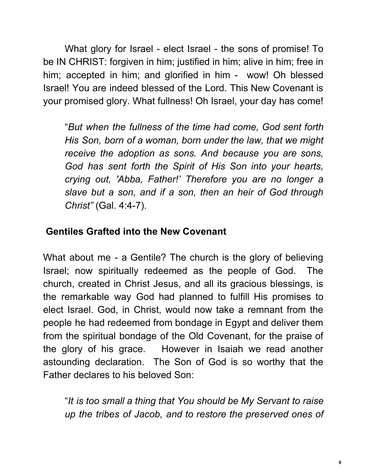What glory for Israel - elect Israel - the sons of promise! To be IN CHRIST: forgiven in him; justified in him; alive in him; free in him; accepted in him; and glorified in him - wow! Oh blessed Israel! You are indeed blessed of the Lord. This New Covenant is your promised glory. What fullness! Oh Israel, your day has come!

"*But when the fullness of the time had come, God sent forth His Son, born of a woman, born under the law, that we might receive the adoption as sons. And because you are sons, God has sent forth the Spirit of His Son into your hearts, crying out, 'Abba, Father!' Therefore you are no longer a slave but a son, and if a son, then an heir of God through Christ"* (Gal. 4:4-7).

# **Gentiles Grafted into the New Covenant**

What about me - a Gentile? The church is the glory of believing Israel; now spiritually redeemed as the people of God. The church, created in Christ Jesus, and all its gracious blessings, is the remarkable way God had planned to fulfill His promises to elect Israel. God, in Christ, would now take a remnant from the people he had redeemed from bondage in Egypt and deliver them from the spiritual bondage of the Old Covenant, for the praise of the glory of his grace. However in Isaiah we read another astounding declaration. The Son of God is so worthy that the Father declares to his beloved Son:

"*It is too small a thing that You should be My Servant to raise up the tribes of Jacob, and to restore the preserved ones of*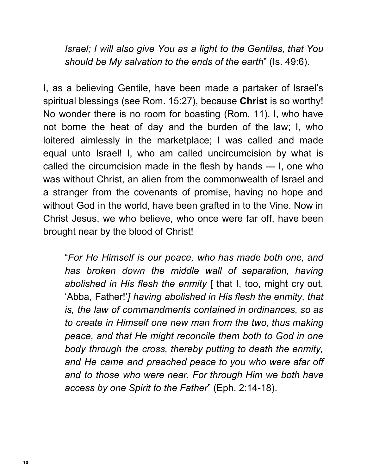*Israel; I will also give You as a light to the Gentiles, that You should be My salvation to the ends of the earth*" (Is. 49:6).

I, as a believing Gentile, have been made a partaker of Israel's spiritual blessings (see Rom. 15:27), because **Christ** is so worthy! No wonder there is no room for boasting (Rom. 11). I, who have not borne the heat of day and the burden of the law; I, who loitered aimlessly in the marketplace; I was called and made equal unto Israel! I, who am called uncircumcision by what is called the circumcision made in the flesh by hands --- I, one who was without Christ, an alien from the commonwealth of Israel and a stranger from the covenants of promise, having no hope and without God in the world, have been grafted in to the Vine. Now in Christ Jesus, we who believe, who once were far off, have been brought near by the blood of Christ!

"*For He Himself is our peace, who has made both one, and has broken down the middle wall of separation, having abolished in His flesh the enmity* [ that I, too, might cry out, 'Abba, Father!'*] having abolished in His flesh the enmity, that is, the law of commandments contained in ordinances, so as to create in Himself one new man from the two, thus making peace, and that He might reconcile them both to God in one body through the cross, thereby putting to death the enmity, and He came and preached peace to you who were afar off and to those who were near. For through Him we both have access by one Spirit to the Father*" (Eph. 2:14-18).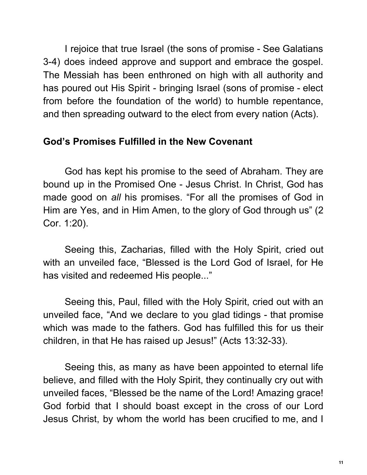I rejoice that true Israel (the sons of promise - See Galatians 3-4) does indeed approve and support and embrace the gospel. The Messiah has been enthroned on high with all authority and has poured out His Spirit - bringing Israel (sons of promise - elect from before the foundation of the world) to humble repentance, and then spreading outward to the elect from every nation (Acts).

#### **God's Promises Fulfilled in the New Covenant**

God has kept his promise to the seed of Abraham. They are bound up in the Promised One - Jesus Christ. In Christ, God has made good on *all* his promises. "For all the promises of God in Him are Yes, and in Him Amen, to the glory of God through us" (2 Cor. 1:20).

Seeing this, Zacharias, filled with the Holy Spirit, cried out with an unveiled face, "Blessed is the Lord God of Israel, for He has visited and redeemed His people..."

Seeing this, Paul, filled with the Holy Spirit, cried out with an unveiled face, "And we declare to you glad tidings - that promise which was made to the fathers. God has fulfilled this for us their children, in that He has raised up Jesus!" (Acts 13:32-33).

Seeing this, as many as have been appointed to eternal life believe, and filled with the Holy Spirit, they continually cry out with unveiled faces, "Blessed be the name of the Lord! Amazing grace! God forbid that I should boast except in the cross of our Lord Jesus Christ, by whom the world has been crucified to me, and I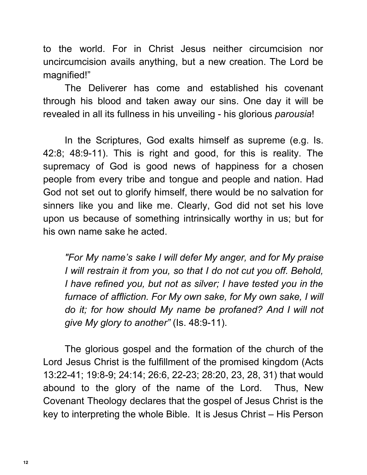to the world. For in Christ Jesus neither circumcision nor uncircumcision avails anything, but a new creation. The Lord be magnified!"

The Deliverer has come and established his covenant through his blood and taken away our sins. One day it will be revealed in all its fullness in his unveiling - his glorious *parousia*!

In the Scriptures, God exalts himself as supreme (e.g. Is. 42:8; 48:9-11). This is right and good, for this is reality. The supremacy of God is good news of happiness for a chosen people from every tribe and tongue and people and nation. Had God not set out to glorify himself, there would be no salvation for sinners like you and like me. Clearly, God did not set his love upon us because of something intrinsically worthy in us; but for his own name sake he acted.

*"For My name's sake I will defer My anger, and for My praise I will restrain it from you, so that I do not cut you off. Behold, I have refined you, but not as silver; I have tested you in the furnace of affliction. For My own sake, for My own sake, I will do it; for how should My name be profaned? And I will not give My glory to another"* (Is. 48:9-11).

The glorious gospel and the formation of the church of the Lord Jesus Christ is the fulfillment of the promised kingdom (Acts 13:22-41; 19:8-9; 24:14; 26:6, 22-23; 28:20, 23, 28, 31) that would abound to the glory of the name of the Lord. Thus, New Covenant Theology declares that the gospel of Jesus Christ is the key to interpreting the whole Bible. It is Jesus Christ – His Person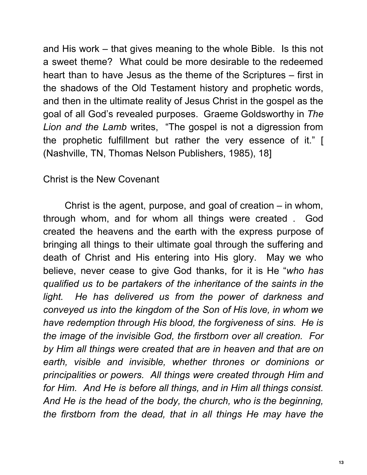and His work – that gives meaning to the whole Bible. Is this not a sweet theme? What could be more desirable to the redeemed heart than to have Jesus as the theme of the Scriptures – first in the shadows of the Old Testament history and prophetic words, and then in the ultimate reality of Jesus Christ in the gospel as the goal of all God's revealed purposes. Graeme Goldsworthy in *The Lion and the Lamb* writes, "The gospel is not a digression from the prophetic fulfillment but rather the very essence of it." [ (Nashville, TN, Thomas Nelson Publishers, 1985), 18]

Christ is the New Covenant

Christ is the agent, purpose, and goal of creation – in whom, through whom, and for whom all things were created . God created the heavens and the earth with the express purpose of bringing all things to their ultimate goal through the suffering and death of Christ and His entering into His glory. May we who believe, never cease to give God thanks, for it is He "*who has qualified us to be partakers of the inheritance of the saints in the light. He has delivered us from the power of darkness and conveyed us into the kingdom of the Son of His love, in whom we have redemption through His blood, the forgiveness of sins. He is the image of the invisible God, the firstborn over all creation. For by Him all things were created that are in heaven and that are on earth, visible and invisible, whether thrones or dominions or principalities or powers. All things were created through Him and for Him. And He is before all things, and in Him all things consist. And He is the head of the body, the church, who is the beginning, the firstborn from the dead, that in all things He may have the*